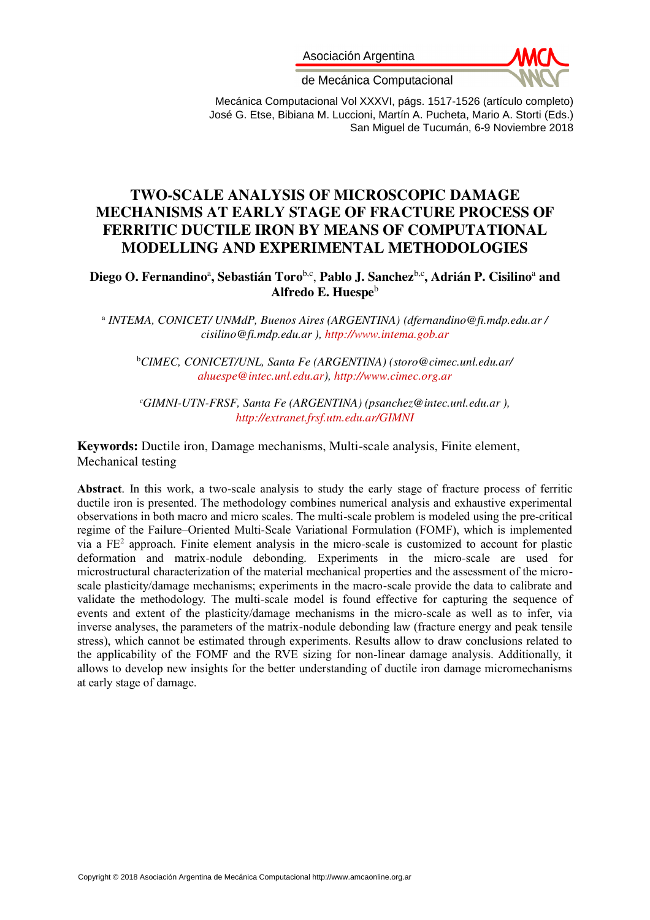Asociación Argentina



de Mecánica Computacional

Mecánica Computacional Vol XXXVI, págs. 1517-1526 (artículo completo) José G. Etse, Bibiana M. Luccioni, Martín A. Pucheta, Mario A. Storti (Eds.) San Miguel de Tucumán, 6-9 Noviembre 2018

# **TWO-SCALE ANALYSIS OF MICROSCOPIC DAMAGE MECHANISMS AT EARLY STAGE OF FRACTURE PROCESS OF FERRITIC DUCTILE IRON BY MEANS OF COMPUTATIONAL MODELLING AND EXPERIMENTAL METHODOLOGIES**

Diego O. Fernandino<sup>a</sup>, Sebastián Toro<sup>b,c</sup>, Pablo J. Sanchez<sup>b,c</sup>, Adrián P. Cisilino<sup>a</sup> and **Alfredo E. Huespe**<sup>b</sup>

a  *INTEMA, CONICET/ UNMdP, Buenos Aires (ARGENTINA) (dfernandino@fi.mdp.edu.ar / cisilino@fi.mdp.edu.ar ), [http://www.intema.gob.ar](http://www.intema.gob.ar/)*

<sup>b</sup>*CIMEC, CONICET/UNL, Santa Fe (ARGENTINA) [\(storo@cimec.unl.edu.ar/](mailto:storo@cimec.unl.edu.ar/)  [ahuespe@intec.unl.edu.ar\)](mailto:ahuespe@intec.unl.edu.ar), http://www.cimec.org.ar* 

*<sup>c</sup>GIMNI-UTN-FRSF, Santa Fe (ARGENTINA) (psanchez@intec.unl.edu.ar ), <http://extranet.frsf.utn.edu.ar/GIMNI>*

**Keywords:** Ductile iron, Damage mechanisms, Multi-scale analysis, Finite element, Mechanical testing

**Abstract**. In this work, a two-scale analysis to study the early stage of fracture process of ferritic ductile iron is presented. The methodology combines numerical analysis and exhaustive experimental observations in both macro and micro scales. The multi-scale problem is modeled using the pre-critical regime of the Failure–Oriented Multi-Scale Variational Formulation (FOMF), which is implemented via a FE<sup>2</sup> approach. Finite element analysis in the micro-scale is customized to account for plastic deformation and matrix-nodule debonding. Experiments in the micro-scale are used for microstructural characterization of the material mechanical properties and the assessment of the microscale plasticity/damage mechanisms; experiments in the macro-scale provide the data to calibrate and validate the methodology. The multi-scale model is found effective for capturing the sequence of events and extent of the plasticity/damage mechanisms in the micro-scale as well as to infer, via inverse analyses, the parameters of the matrix-nodule debonding law (fracture energy and peak tensile stress), which cannot be estimated through experiments. Results allow to draw conclusions related to the applicability of the FOMF and the RVE sizing for non-linear damage analysis. Additionally, it allows to develop new insights for the better understanding of ductile iron damage micromechanisms at early stage of damage.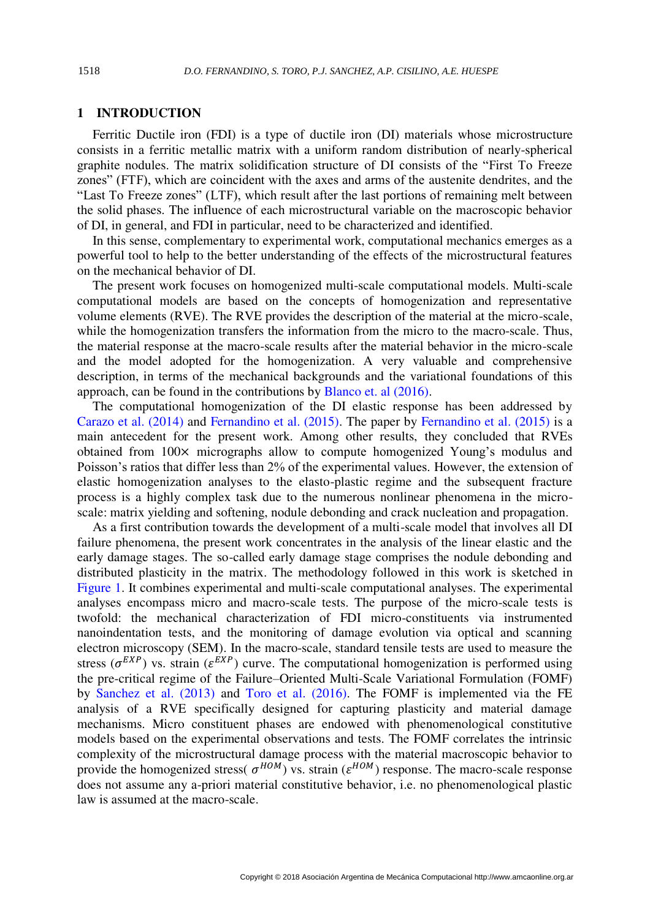## **1 INTRODUCTION**

Ferritic Ductile iron (FDI) is a type of ductile iron (DI) materials whose microstructure consists in a ferritic metallic matrix with a uniform random distribution of nearly-spherical graphite nodules. The matrix solidification structure of DI consists of the "First To Freeze zones" (FTF), which are coincident with the axes and arms of the austenite dendrites, and the "Last To Freeze zones" (LTF), which result after the last portions of remaining melt between the solid phases. The influence of each microstructural variable on the macroscopic behavior of DI, in general, and FDI in particular, need to be characterized and identified.

In this sense, complementary to experimental work, computational mechanics emerges as a powerful tool to help to the better understanding of the effects of the microstructural features on the mechanical behavior of DI.

The present work focuses on homogenized multi-scale computational models. Multi-scale computational models are based on the concepts of homogenization and representative volume elements (RVE). The RVE provides the description of the material at the micro-scale, while the homogenization transfers the information from the micro to the macro-scale. Thus, the material response at the macro-scale results after the material behavior in the micro-scale and the model adopted for the homogenization. A very valuable and comprehensive description, in terms of the mechanical backgrounds and the variational foundations of this approach, can be found in the contributions by [Blanco et. al \(2016\).](#page-9-0)

The computational homogenization of the DI elastic response has been addressed by [Carazo et al. \(2014\)](#page-9-1) and [Fernandino et al. \(2015\).](#page-9-2) The paper by [Fernandino et al. \(2015\)](#page-9-2) is a main antecedent for the present work. Among other results, they concluded that RVEs obtained from 100× micrographs allow to compute homogenized Young's modulus and Poisson's ratios that differ less than 2% of the experimental values. However, the extension of elastic homogenization analyses to the elasto-plastic regime and the subsequent fracture process is a highly complex task due to the numerous nonlinear phenomena in the microscale: matrix yielding and softening, nodule debonding and crack nucleation and propagation.

As a first contribution towards the development of a multi-scale model that involves all DI failure phenomena, the present work concentrates in the analysis of the linear elastic and the early damage stages. The so-called early damage stage comprises the nodule debonding and distributed plasticity in the matrix. The methodology followed in this work is sketched in [Figure 1.](#page-2-0) It combines experimental and multi-scale computational analyses. The experimental analyses encompass micro and macro-scale tests. The purpose of the micro-scale tests is twofold: the mechanical characterization of FDI micro-constituents via instrumented nanoindentation tests, and the monitoring of damage evolution via optical and scanning electron microscopy (SEM). In the macro-scale, standard tensile tests are used to measure the stress ( $\sigma^{EXP}$ ) vs. strain ( $\varepsilon^{EXP}$ ) curve. The computational homogenization is performed using the pre-critical regime of the Failure–Oriented Multi-Scale Variational Formulation (FOMF) by [Sanchez et al. \(2013\)](#page-9-3) and [Toro et al. \(2016\).](#page-9-4) The FOMF is implemented via the FE analysis of a RVE specifically designed for capturing plasticity and material damage mechanisms. Micro constituent phases are endowed with phenomenological constitutive models based on the experimental observations and tests. The FOMF correlates the intrinsic complexity of the microstructural damage process with the material macroscopic behavior to provide the homogenized stress(  $\sigma^{HOM}$ ) vs. strain ( $\varepsilon^{HOM}$ ) response. The macro-scale response does not assume any a-priori material constitutive behavior, i.e. no phenomenological plastic law is assumed at the macro-scale.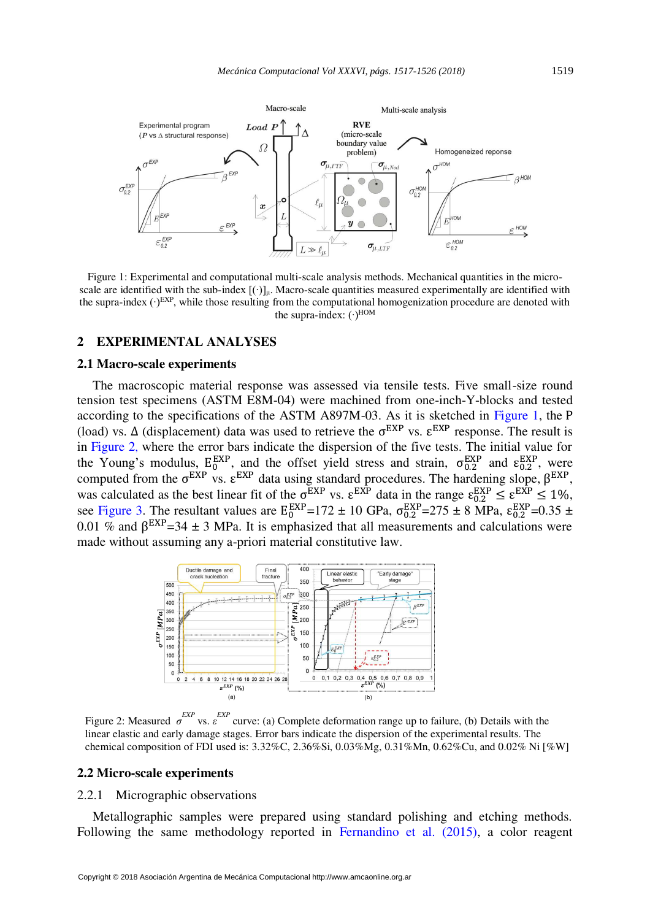

<span id="page-2-0"></span>Figure 1: Experimental and computational multi-scale analysis methods. Mechanical quantities in the microscale are identified with the sub-index  $[(·)]<sub>µ</sub>$ . Macro-scale quantities measured experimentally are identified with the supra-index (∙)EXP, while those resulting from the computational homogenization procedure are denoted with the supra-index:  $(·)^{HOM}$ 

#### **2 EXPERIMENTAL ANALYSES**

#### **2.1 Macro-scale experiments**

The macroscopic material response was assessed via tensile tests. Five small-size round tension test specimens (ASTM E8M-04) were machined from one-inch-Y-blocks and tested according to the specifications of the ASTM A897M-03. As it is sketched in [Figure 1,](#page-2-0) the P (load) vs.  $\Delta$  (displacement) data was used to retrieve the  $\sigma^{EXP}$  vs.  $\epsilon^{EXP}$  response. The result is in [Figure 2](#page-2-1), where the error bars indicate the dispersion of the five tests. The initial value for the Young's modulus,  $E_0^{EXP}$ , and the offset yield stress and strain,  $\sigma_{0.2}^{EXP}$  and  $\epsilon_{0.2}^{EXP}$ , were computed from the  $\sigma^{EXP}$  vs.  $\epsilon^{EXP}$  data using standard procedures. The hardening slope,  $\beta^{EXP}$ , was calculated as the best linear fit of the  $\sigma^{EXP}$  vs.  $\epsilon^{EXP}$  data in the range  $\epsilon_{0.2}^{EXP} \leq \epsilon^{EXP} \leq 1\%$ , see [Figure 3.](#page-3-0) The resultant values are  $E_0^{EXP}=172 \pm 10$  GPa,  $\sigma_{0.2}^{EXP}=275 \pm 8$  MPa,  $\epsilon_{0.2}^{EXP}=0.35 \pm 0.000$ 0.01 % and  $\beta^{EXP}$ =34 ± 3 MPa. It is emphasized that all measurements and calculations were made without assuming any a-priori material constitutive law.



<span id="page-2-1"></span>Figure 2: Measured  $\sigma^{EXP}$  vs.  $\varepsilon^{EXP}$  curve: (a) Complete deformation range up to failure, (b) Details with the linear elastic and early damage stages. Error bars indicate the dispersion of the experimental results. The chemical composition of FDI used is: 3.32%C, 2.36%Si, 0.03%Mg, 0.31%Mn, 0.62%Cu, and 0.02% Ni [%W]

#### **2.2 Micro-scale experiments**

#### 2.2.1 Micrographic observations

Metallographic samples were prepared using standard polishing and etching methods. Following the same methodology reported in [Fernandino et al. \(2015\),](#page-9-2) a color reagent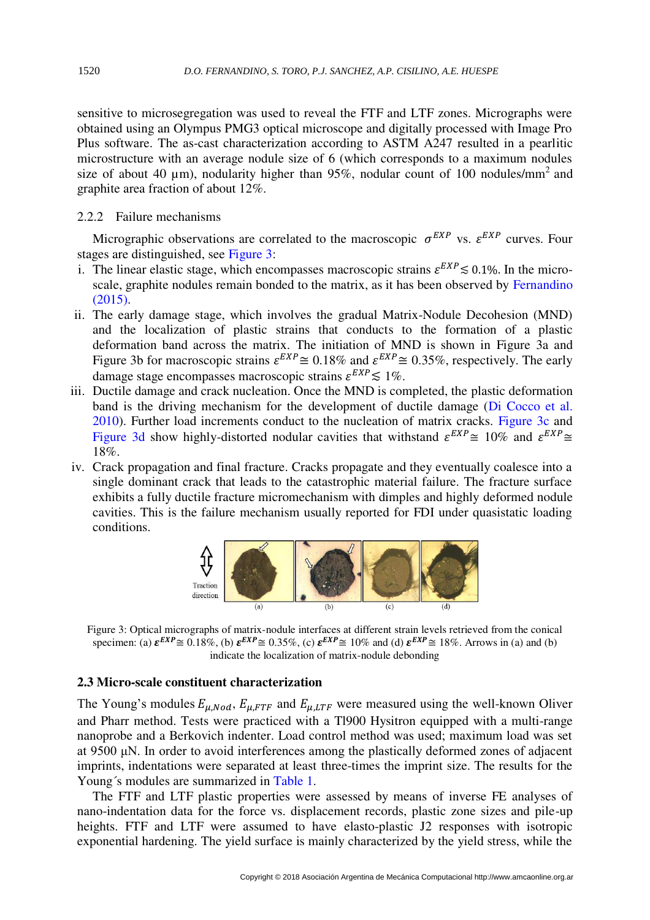sensitive to microsegregation was used to reveal the FTF and LTF zones. Micrographs were obtained using an Olympus PMG3 optical microscope and digitally processed with Image Pro Plus software. The as-cast characterization according to ASTM A247 resulted in a pearlitic microstructure with an average nodule size of 6 (which corresponds to a maximum nodules size of about 40  $\mu$ m), nodularity higher than 95%, nodular count of 100 nodules/mm<sup>2</sup> and graphite area fraction of about 12%.

#### 2.2.2 Failure mechanisms

Micrographic observations are correlated to the macroscopic  $\sigma^{EXP}$  vs.  $\varepsilon^{EXP}$  curves. Four stages are distinguished, see [Figure 3:](#page-3-0)

- i. The linear elastic stage, which encompasses macroscopic strains  $\varepsilon^{EXP} \lesssim 0.1\%$ . In the microscale, graphite nodules remain bonded to the matrix, as it has been observed by [Fernandino](#page-9-5)  [\(2015\).](#page-9-5)
- ii. The early damage stage, which involves the gradual Matrix-Nodule Decohesion (MND) and the localization of plastic strains that conducts to the formation of a plastic deformation band across the matrix. The initiation of MND is shown in Figure 3a and Figure 3b for macroscopic strains  $\varepsilon^{EXP} \cong 0.18\%$  and  $\varepsilon^{EXP} \cong 0.35\%$ , respectively. The early damage stage encompasses macroscopic strains  $\varepsilon^{EXP} \lesssim 1\%$ .
- iii. Ductile damage and crack nucleation. Once the MND is completed, the plastic deformation band is the driving mechanism for the development of ductile damage [\(Di Cocco et al.](#page-9-6)  [2010\)](#page-9-6). Further load increments conduct to the nucleation of matrix cracks. [Figure 3c](#page-3-0) and [Figure 3d](#page-3-0) show highly-distorted nodular cavities that withstand  $\varepsilon^{EXP} \cong 10\%$  and  $\varepsilon^{EXP} \cong$ 18%.
- iv. Crack propagation and final fracture. Cracks propagate and they eventually coalesce into a single dominant crack that leads to the catastrophic material failure. The fracture surface exhibits a fully ductile fracture micromechanism with dimples and highly deformed nodule cavities. This is the failure mechanism usually reported for FDI under quasistatic loading conditions.



<span id="page-3-0"></span>Figure 3: Optical micrographs of matrix-nodule interfaces at different strain levels retrieved from the conical specimen: (a)  $\boldsymbol{\varepsilon}^{EXP} \cong 0.18\%,$  (b)  $\boldsymbol{\varepsilon}^{EXP} \cong 0.35\%,$  (c)  $\boldsymbol{\varepsilon}^{EXP} \cong 10\%$  and (d)  $\boldsymbol{\varepsilon}^{EXP} \cong 18\%.$  Arrows in (a) and (b) indicate the localization of matrix-nodule debonding

## <span id="page-3-1"></span>**2.3 Micro-scale constituent characterization**

The Young's modules  $E_{\mu, Nod}$ ,  $E_{\mu, FTF}$  and  $E_{\mu, LTF}$  were measured using the well-known Oliver and Pharr method. Tests were practiced with a Tl900 Hysitron equipped with a multi-range nanoprobe and a Berkovich indenter. Load control method was used; maximum load was set at 9500 μN. In order to avoid interferences among the plastically deformed zones of adjacent imprints, indentations were separated at least three-times the imprint size. The results for the Young´s modules are summarized in [Table 1.](#page-4-0)

The FTF and LTF plastic properties were assessed by means of inverse FE analyses of nano-indentation data for the force vs. displacement records, plastic zone sizes and pile-up heights. FTF and LTF were assumed to have elasto-plastic J2 responses with isotropic exponential hardening. The yield surface is mainly characterized by the yield stress, while the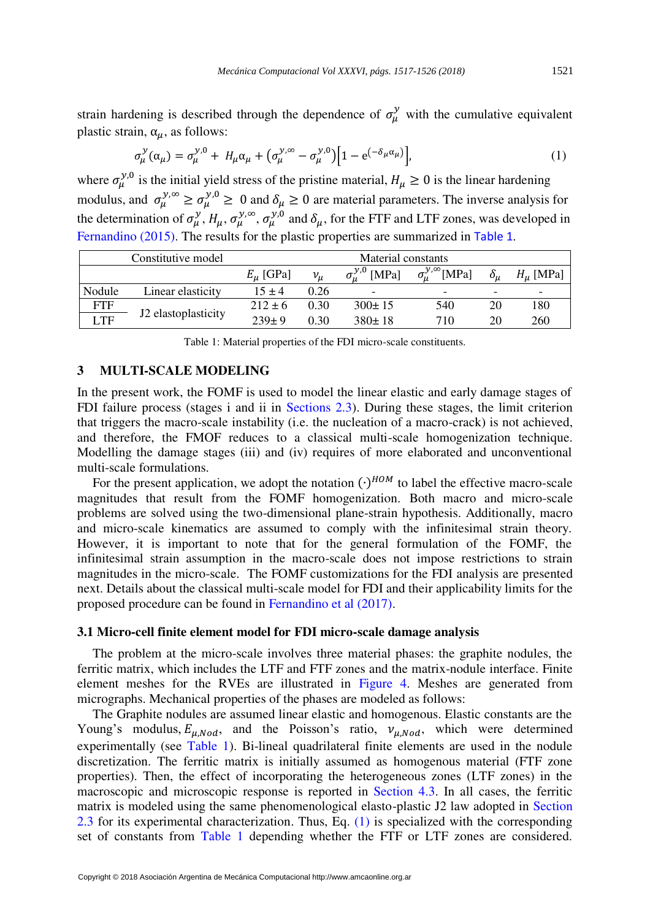strain hardening is described through the dependence of  $\sigma_\mu^y$  with the cumulative equivalent plastic strain,  $\alpha_{\mu}$ , as follows:

$$
\sigma_{\mu}^{\mathcal{Y}}(\alpha_{\mu}) = \sigma_{\mu}^{\mathcal{Y},0} + H_{\mu}\alpha_{\mu} + (\sigma_{\mu}^{\mathcal{Y},\infty} - \sigma_{\mu}^{\mathcal{Y},0}) \Big[ 1 - e^{(-\delta_{\mu}\alpha_{\mu})} \Big],\tag{1}
$$

where  $\sigma_{\mu}^{y,0}$  is the initial yield stress of the pristine material,  $H_{\mu} \ge 0$  is the linear hardening modulus, and  $\sigma_{\mu}^{\gamma,\infty} \ge \sigma_{\mu}^{\gamma,0} \ge 0$  and  $\delta_{\mu} \ge 0$  are material parameters. The inverse analysis for the determination of  $\sigma_\mu^y$ ,  $H_\mu$ ,  $\sigma_\mu^{y,\infty}$ ,  $\sigma_\mu^{y,0}$  and  $\delta_\mu$ , for the FTF and LTF zones, was developed in [Fernandino \(2015\).](#page-9-5) The results for the plastic properties are summarized in [Table 1](#page-4-0).

|            | Constitutive model  | Material constants |         |              |                                           |                          |                          |  |
|------------|---------------------|--------------------|---------|--------------|-------------------------------------------|--------------------------|--------------------------|--|
|            |                     | $E_{\mu}$ [GPa]    | $v_\mu$ | y,0<br>[MPa] | $\sigma_{\mu}^{\mathcal{Y},\infty}$ [MPa] | $\delta_{\mu}$           | $H_u$ [MPa]              |  |
| Nodule     | Linear elasticity   | $15 + 4$           | 0.26    | -            |                                           | $\overline{\phantom{a}}$ | $\overline{\phantom{0}}$ |  |
| <b>FTF</b> |                     | $212 \pm 6$        | 0.30    | $300 \pm 15$ | 540                                       | 20                       | 180                      |  |
| <b>LTF</b> | J2 elastoplasticity | $239+9$            | 0.30    | $380 \pm 18$ | 710                                       | 20                       | 260                      |  |

<span id="page-4-1"></span>Table 1: Material properties of the FDI micro-scale constituents.

#### <span id="page-4-0"></span>**3 MULTI-SCALE MODELING**

In the present work, the FOMF is used to model the linear elastic and early damage stages of FDI failure process (stages i and ii in [Sections 2.3\)](#page-3-1). During these stages, the limit criterion that triggers the macro-scale instability (i.e. the nucleation of a macro-crack) is not achieved, and therefore, the FMOF reduces to a classical multi-scale homogenization technique. Modelling the damage stages (iii) and (iv) requires of more elaborated and unconventional multi-scale formulations.

For the present application, we adopt the notation  $(\cdot)^{HOM}$  to label the effective macro-scale magnitudes that result from the FOMF homogenization. Both macro and micro-scale problems are solved using the two-dimensional plane-strain hypothesis. Additionally, macro and micro-scale kinematics are assumed to comply with the infinitesimal strain theory. However, it is important to note that for the general formulation of the FOMF, the infinitesimal strain assumption in the macro-scale does not impose restrictions to strain magnitudes in the micro-scale. The FOMF customizations for the FDI analysis are presented next. Details about the classical multi-scale model for FDI and their applicability limits for the proposed procedure can be found in [Fernandino et al \(2017\).](#page-9-7)

#### **3.1 Micro-cell finite element model for FDI micro-scale damage analysis**

The problem at the micro-scale involves three material phases: the graphite nodules, the ferritic matrix, which includes the LTF and FTF zones and the matrix-nodule interface. Finite element meshes for the RVEs are illustrated in [Figure 4.](#page-5-0) Meshes are generated from micrographs. Mechanical properties of the phases are modeled as follows:

The Graphite nodules are assumed linear elastic and homogenous. Elastic constants are the Young's modulus,  $E_{\mu, Nod}$ , and the Poisson's ratio,  $v_{\mu, Nod}$ , which were determined experimentally (see [Table 1\)](#page-4-0). Bi-lineal quadrilateral finite elements are used in the nodule discretization. The ferritic matrix is initially assumed as homogenous material (FTF zone properties). Then, the effect of incorporating the heterogeneous zones (LTF zones) in the macroscopic and microscopic response is reported in [Section 4.3.](#page-8-0) In all cases, the ferritic matrix is modeled using the same phenomenological elasto-plastic J2 law adopted in [Section](#page-3-1)  [2.3](#page-3-1) for its experimental characterization. Thus, Eq. [\(1\)](#page-4-1) is specialized with the corresponding set of constants from [Table 1](#page-4-0) depending whether the FTF or LTF zones are considered.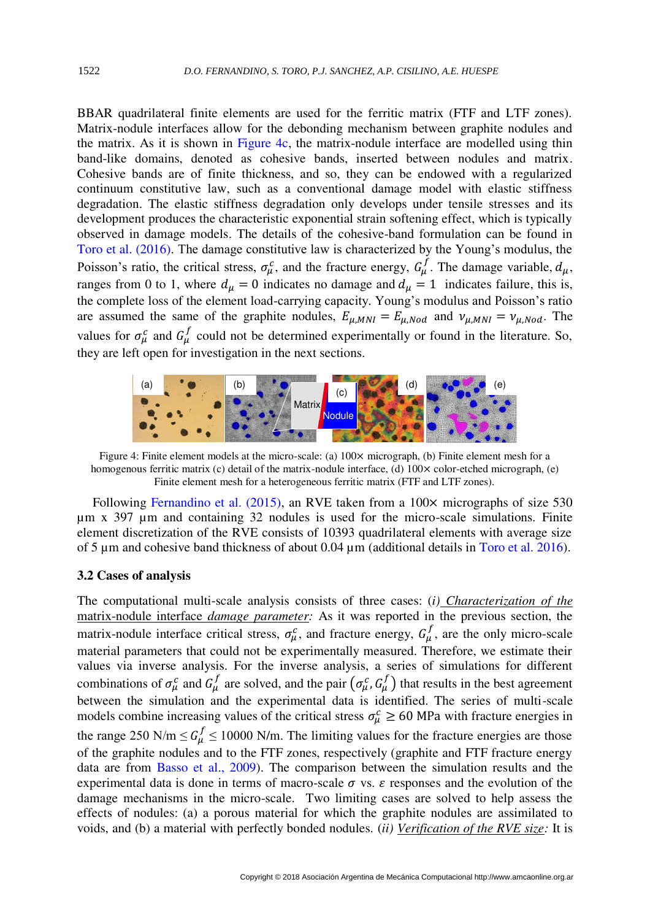BBAR quadrilateral finite elements are used for the ferritic matrix (FTF and LTF zones). Matrix-nodule interfaces allow for the debonding mechanism between graphite nodules and the matrix. As it is shown in [Figure 4c](#page-5-0), the matrix-nodule interface are modelled using thin band-like domains, denoted as cohesive bands, inserted between nodules and matrix. Cohesive bands are of finite thickness, and so, they can be endowed with a regularized continuum constitutive law, such as a conventional damage model with elastic stiffness degradation. The elastic stiffness degradation only develops under tensile stresses and its development produces the characteristic exponential strain softening effect, which is typically observed in damage models. The details of the cohesive-band formulation can be found in [Toro et al. \(2016\)](#page-9-4). The damage constitutive law is characterized by the Young's modulus, the Poisson's ratio, the critical stress,  $\sigma_{\mu}^c$ , and the fracture energy,  $G_{\mu}^f$ . The damage variable,  $d_{\mu}$ , ranges from 0 to 1, where  $d_{\mu} = 0$  indicates no damage and  $d_{\mu} = 1$  indicates failure, this is, the complete loss of the element load-carrying capacity. Young's modulus and Poisson's ratio are assumed the same of the graphite nodules,  $E_{\mu, MNI} = E_{\mu, Nod}$  and  $\nu_{\mu, MNI} = \nu_{\mu, Nod}$ . The values for  $\sigma_{\mu}^{c}$  and  $G_{\mu}^{f}$  could not be determined experimentally or found in the literature. So, they are left open for investigation in the next sections.



<span id="page-5-0"></span>Figure 4: Finite element models at the micro-scale: (a)  $100 \times$  micrograph, (b) Finite element mesh for a homogenous ferritic matrix (c) detail of the matrix-nodule interface, (d)  $100 \times$  color-etched micrograph, (e) Finite element mesh for a heterogeneous ferritic matrix (FTF and LTF zones).

Following [Fernandino et al. \(2015\),](#page-9-2) an RVE taken from a 100 $\times$  micrographs of size 530 µm x 397 µm and containing 32 nodules is used for the micro-scale simulations. Finite element discretization of the RVE consists of 10393 quadrilateral elements with average size of 5  $\mu$ m and cohesive band thickness of about 0.04  $\mu$ m (additional details in [Toro et al. 2016\)](#page-9-4).

#### **3.2 Cases of analysis**

The computational multi-scale analysis consists of three cases: (*i) Characterization of the*  matrix-nodule interface *damage parameter:* As it was reported in the previous section, the matrix-nodule interface critical stress,  $\sigma_{\mu}^{c}$ , and fracture energy,  $G_{\mu}^{f}$ , are the only micro-scale material parameters that could not be experimentally measured. Therefore, we estimate their values via inverse analysis. For the inverse analysis, a series of simulations for different combinations of  $\sigma_\mu^c$  and  $G_\mu^f$  are solved, and the pair  $(\sigma_\mu^c, G_\mu^f)$  that results in the best agreement between the simulation and the experimental data is identified. The series of multi-scale models combine increasing values of the critical stress  $\sigma_{\mu}^{c} \ge 60$  MPa with fracture energies in the range 250 N/m  $\leq G_{\mu}^{f} \leq 10000$  N/m. The limiting values for the fracture energies are those of the graphite nodules and to the FTF zones, respectively (graphite and FTF fracture energy data are from [Basso et al., 2009\)](#page-9-8). The comparison between the simulation results and the experimental data is done in terms of macro-scale  $\sigma$  vs.  $\varepsilon$  responses and the evolution of the damage mechanisms in the micro-scale. Two limiting cases are solved to help assess the effects of nodules: (a) a porous material for which the graphite nodules are assimilated to voids, and (b) a material with perfectly bonded nodules. (*ii) Verification of the RVE size:* It is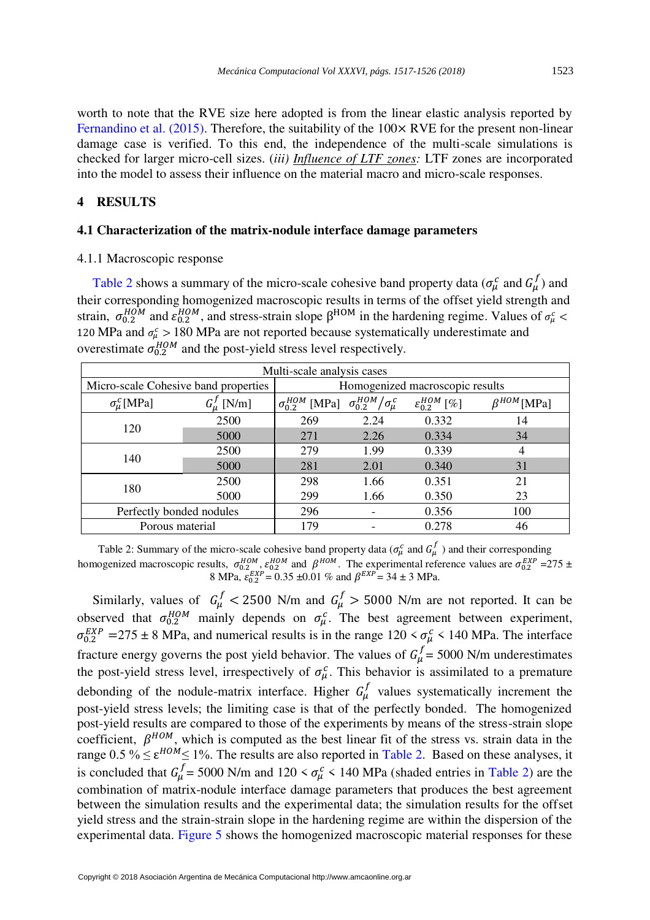worth to note that the RVE size here adopted is from the linear elastic analysis reported by Fernandino et al.  $(2015)$ . Therefore, the suitability of the 100 $\times$  RVE for the present non-linear damage case is verified. To this end, the independence of the multi-scale simulations is checked for larger micro-cell sizes. (*iii) Influence of LTF zones:* LTF zones are incorporated into the model to assess their influence on the material macro and micro-scale responses.

## <span id="page-6-2"></span>**4 RESULTS**

#### <span id="page-6-1"></span>**4.1 Characterization of the matrix-nodule interface damage parameters**

## 4.1.1 Macroscopic response

[Table 2](#page-6-0) shows a summary of the micro-scale cohesive band property data ( $\sigma_{\mu}^{c}$  and  $G_{\mu}^{f}$ ) and their corresponding homogenized macroscopic results in terms of the offset yield strength and strain,  $\sigma_{0.2}^{HOM}$  and  $\varepsilon_{0.2}^{HOM}$ , and stress-strain slope  $\beta^{HOM}$  in the hardening regime. Values of  $\sigma_{\mu}^c$  < 120 MPa and  $\sigma_{\mu}^c > 180$  MPa are not reported because systematically underestimate and overestimate  $\sigma_{0.2}^{HOM}$  and the post-yield stress level respectively.

| Multi-scale analysis cases           |                                 |                            |                                       |                           |                     |  |  |
|--------------------------------------|---------------------------------|----------------------------|---------------------------------------|---------------------------|---------------------|--|--|
| Micro-scale Cohesive band properties | Homogenized macroscopic results |                            |                                       |                           |                     |  |  |
| $\sigma_{\mu}^{c}$ [MPa]             | $G_u^J$ [N/m]                   | $\sigma_{0.2}^{HOM}$ [MPa] | $\sigma_{0.2}^{HOM}/\sigma_{\mu}^{c}$ | $\mathcal{E}_0^{HOM}$ [%] | $\beta^{HOM}$ [MPa] |  |  |
|                                      | 2500                            | 269                        | 2.24                                  | 0.332                     | 14                  |  |  |
| 120                                  | 5000                            | 271                        | 2.26                                  | 0.334                     | 34                  |  |  |
|                                      | 2500                            | 279                        | 1.99                                  | 0.339                     | 4                   |  |  |
| 140                                  | 5000                            | 281                        | 2.01                                  | 0.340                     | 31                  |  |  |
|                                      | 2500                            | 298                        | 1.66                                  | 0.351                     | 21                  |  |  |
| 180                                  | 5000                            | 299                        | 1.66                                  | 0.350                     | 23                  |  |  |
| Perfectly bonded nodules             | 296                             |                            | 0.356                                 | 100                       |                     |  |  |
| Porous material                      | 179                             |                            | 0.278                                 | 46                        |                     |  |  |

<span id="page-6-0"></span>Table 2: Summary of the micro-scale cohesive band property data ( $\sigma_{\mu}^{c}$  and  $G_{\mu}^{f}$ ) and their corresponding homogenized macroscopic results,  $\sigma_{0.2}^{HOM}$ ,  $\varepsilon_{0.2}^{HOM}$  and  $\beta^{HOM}$ . The experimental reference values are  $\sigma_{0.2}^{EXP}$  =275  $\pm$ 8 MPa,  $\varepsilon_{0.2}^{EXP} = 0.35 \pm 0.01$  % and  $\beta^{EXP} = 34 \pm 3$  MPa.

Similarly, values of  $G^f_\mu < 2500$  N/m and  $G^f_\mu > 5000$  N/m are not reported. It can be observed that  $\sigma_{0.2}^{HOM}$  mainly depends on  $\sigma_{\mu}^{c}$ . The best agreement between experiment,  $\sigma_{0.2}^{EXP}$  = 275 ± 8 MPa, and numerical results is in the range 120 <  $\sigma_{\mu}^{C}$  < 140 MPa. The interface fracture energy governs the post yield behavior. The values of  $G_{\mu}^{f} = 5000$  N/m underestimates the post-yield stress level, irrespectively of  $\sigma_{\mu}^{c}$ . This behavior is assimilated to a premature debonding of the nodule-matrix interface. Higher  $G^f_\mu$  values systematically increment the post-yield stress levels; the limiting case is that of the perfectly bonded. The homogenized post-yield results are compared to those of the experiments by means of the stress-strain slope coefficient,  $\beta^{HOM}$ , which is computed as the best linear fit of the stress vs. strain data in the range  $0.5\% \le \varepsilon^{HOM} \le 1\%$ . The results are also reported in [Table 2.](#page-6-0) Based on these analyses, it is concluded that  $G_{\mu}^{J} = 5000$  N/m and  $120 < \sigma_{\mu}^{c} < 140$  MPa (shaded entries in [Table 2\)](#page-6-0) are the combination of matrix-nodule interface damage parameters that produces the best agreement between the simulation results and the experimental data; the simulation results for the offset yield stress and the strain-strain slope in the hardening regime are within the dispersion of the experimental data. [Figure 5](#page-7-0) shows the homogenized macroscopic material responses for these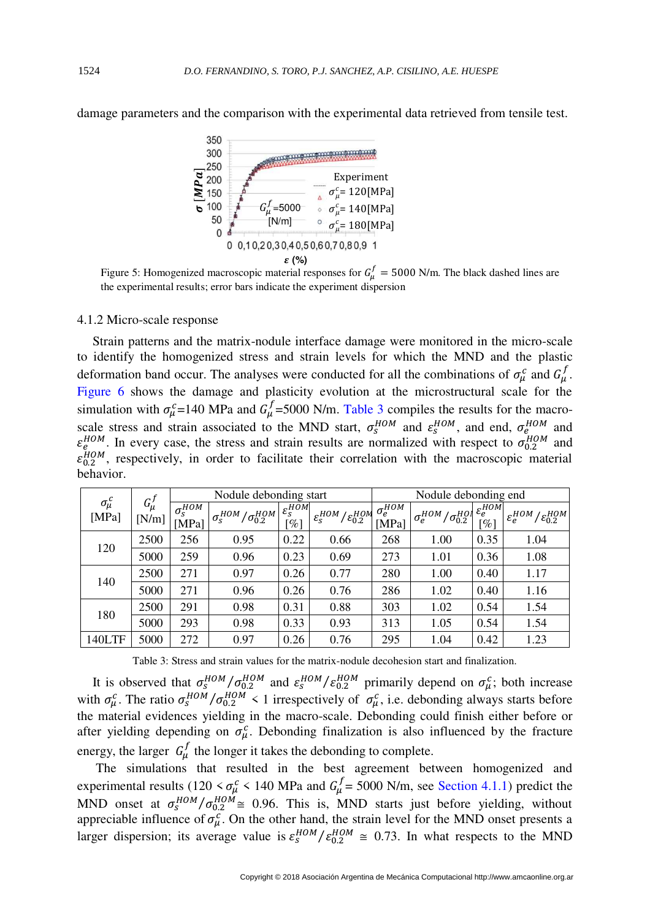

damage parameters and the comparison with the experimental data retrieved from tensile test.

<span id="page-7-0"></span>Figure 5: Homogenized macroscopic material responses for  $G^f_\mu = 5000$  N/m. The black dashed lines are the experimental results; error bars indicate the experiment dispersion

#### 4.1.2 Micro-scale response

Strain patterns and the matrix-nodule interface damage were monitored in the micro-scale to identify the homogenized stress and strain levels for which the MND and the plastic deformation band occur. The analyses were conducted for all the combinations of  $\sigma_{\mu}^{c}$  and  $G_{\mu}^{f}$ . [Figure 6](#page-8-1) shows the damage and plasticity evolution at the microstructural scale for the simulation with  $\sigma_{\mu}^{c}$ =140 MPa and  $G_{\mu}^{f}$ =5000 N/m. [Table 3](#page-7-1) compiles the results for the macroscale stress and strain associated to the MND start,  $\sigma_S^{HOM}$  and  $\varepsilon_S^{HOM}$ , and end,  $\sigma_{e}^{HOM}$  and  $\varepsilon_{\text{BOM}}^{HOM}$ . In every case, the stress and strain results are normalized with respect to  $\sigma_{0.2}^{HOM}$  and  $\varepsilon_{0,2}^{HOM}$ , respectively, in order to facilitate their correlation with the macroscopic material behavior.

|                         | $G^{\,\prime}_{\mu}$<br>[N/m] | Nodule debonding start               |                                            |                                                                  |                                                     | Nodule debonding end                 |                                           |                                                         |                                                           |
|-------------------------|-------------------------------|--------------------------------------|--------------------------------------------|------------------------------------------------------------------|-----------------------------------------------------|--------------------------------------|-------------------------------------------|---------------------------------------------------------|-----------------------------------------------------------|
| $\sigma^c_\mu$<br>[MPa] |                               | $\sigma_S^{\overline{HOM}}$<br>[MPa] | $\tau_S^{HOM}/\sigma_{0.2}^{HOM}$<br>$o_s$ | $\epsilon_s$ $\overline{\epsilon_s^{HOM}}$<br>$\lceil \% \rceil$ | $\varepsilon_{\rm s}^{HOM}/\varepsilon_{0.2}^{HOM}$ | $\sigma_e^{\overline{HOM}}$<br>[MPa] | $/ \sigma^{HOI}_{0.2}$<br>$-HOM$<br>$o_e$ | $\sim$ $\epsilon_e^{\overline{HOM}}$<br>$\mathscr{U}_o$ | $\sqrt{\varepsilon_{0.2}^{HOM}}$<br>$\varepsilon_e^{HOM}$ |
| 120                     | 2500                          | 256                                  | 0.95                                       | 0.22                                                             | 0.66                                                | 268                                  | 1.00                                      | 0.35                                                    | 1.04                                                      |
|                         | 5000                          | 259                                  | 0.96                                       | 0.23                                                             | 0.69                                                | 273                                  | 1.01                                      | 0.36                                                    | 1.08                                                      |
| 140                     | 2500                          | 271                                  | 0.97                                       | 0.26                                                             | 0.77                                                | 280                                  | 1.00                                      | 0.40                                                    | 1.17                                                      |
|                         | 5000                          | 271                                  | 0.96                                       | 0.26                                                             | 0.76                                                | 286                                  | 1.02                                      | 0.40                                                    | 1.16                                                      |
| 180                     | 2500                          | 291                                  | 0.98                                       | 0.31                                                             | 0.88                                                | 303                                  | 1.02                                      | 0.54                                                    | 1.54                                                      |
|                         | 5000                          | 293                                  | 0.98                                       | 0.33                                                             | 0.93                                                | 313                                  | 1.05                                      | 0.54                                                    | 1.54                                                      |
| 140LTF                  | 5000                          | 272                                  | 0.97                                       | 0.26                                                             | 0.76                                                | 295                                  | 1.04                                      | 0.42                                                    | 1.23                                                      |

Table 3: Stress and strain values for the matrix-nodule decohesion start and finalization.

<span id="page-7-1"></span>It is observed that  $\sigma_s^{HOM}/\sigma_{0.2}^{HOM}$  and  $\varepsilon_s^{HOM}/\varepsilon_{0.2}^{HOM}$  primarily depend on  $\sigma_\mu^c$ ; both increase with  $\sigma_{\mu}^c$ . The ratio  $\sigma_{S}^{HOM}/\sigma_{0.2}^{HOM}$  < 1 irrespectively of  $\sigma_{\mu}^c$ , i.e. debonding always starts before the material evidences yielding in the macro-scale. Debonding could finish either before or after yielding depending on  $\sigma_{\mu}^{c}$ . Debonding finalization is also influenced by the fracture energy, the larger  $G^f_\mu$  the longer it takes the debonding to complete.

 The simulations that resulted in the best agreement between homogenized and experimental results (120  $\lt \sigma_\mu^c$  < 140 MPa and  $G_\mu^f$  = 5000 N/m, see [Section 4.1.1\)](#page-6-1) predict the MND onset at  $\sigma_s^{HOM}/\sigma_{0.2}^{HOM} \cong 0.96$ . This is, MND starts just before yielding, without appreciable influence of  $\sigma_{\mu}^{c}$ . On the other hand, the strain level for the MND onset presents a larger dispersion; its average value is  $\varepsilon_5^{HOM}/\varepsilon_{0.2}^{HOM} \approx 0.73$ . In what respects to the MND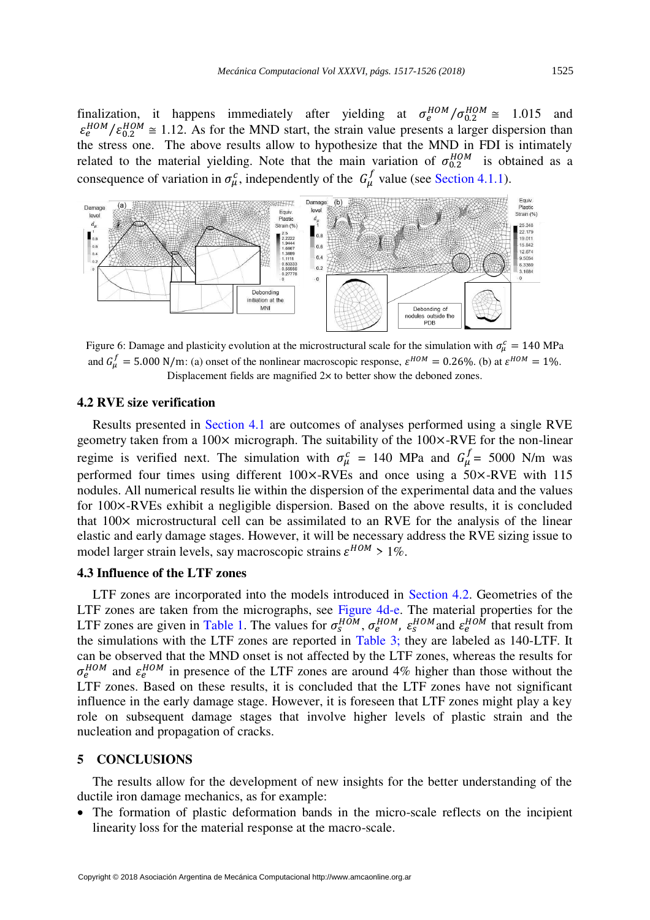finalization, it happens immediately after yielding at  $\sigma_e^{HOM}/\sigma_{0.2}^{HOM} \approx 1.015$  and  $\varepsilon_e^{HOM}/\varepsilon_{0.2}^{HOM} \approx 1.12$ . As for the MND start, the strain value presents a larger dispersion than the stress one. The above results allow to hypothesize that the MND in FDI is intimately related to the material yielding. Note that the main variation of  $\sigma_{0.2}^{HOM}$  is obtained as a consequence of variation in  $\sigma_{\mu}^{c}$ , independently of the  $G_{\mu}^{f}$  value (see [Section 4.1.1\)](#page-6-1).



<span id="page-8-1"></span>Figure 6: Damage and plasticity evolution at the microstructural scale for the simulation with  $\sigma_{\mu}^c = 140 \text{ MPa}$ and  $G_{\mu}^f = 5.000 \text{ N/m}$ : (a) onset of the nonlinear macroscopic response,  $\varepsilon^{HOM} = 0.26\%$ . (b) at  $\varepsilon^{HOM} = 1\%$ . Displacement fields are magnified  $2\times$  to better show the deboned zones.

## <span id="page-8-2"></span>**4.2 RVE size verification**

Results presented in [Section 4.1](#page-6-2) are outcomes of analyses performed using a single RVE geometry taken from a  $100 \times$  micrograph. The suitability of the  $100 \times$ -RVE for the non-linear regime is verified next. The simulation with  $\sigma_{\mu}^{c} = 140$  MPa and  $G_{\mu}^{f} = 5000$  N/m was performed four times using different 100×-RVEs and once using a 50×-RVE with 115 nodules. All numerical results lie within the dispersion of the experimental data and the values for 100×-RVEs exhibit a negligible dispersion. Based on the above results, it is concluded that 100× microstructural cell can be assimilated to an RVE for the analysis of the linear elastic and early damage stages. However, it will be necessary address the RVE sizing issue to model larger strain levels, say macroscopic strains  $\varepsilon^{HOM} > 1\%$ .

## <span id="page-8-0"></span>**4.3 Influence of the LTF zones**

LTF zones are incorporated into the models introduced in [Section 4.2.](#page-8-2) Geometries of the LTF zones are taken from the micrographs, see [Figure 4d](#page-5-0)-e. The material properties for the LTF zones are given in [Table 1.](#page-4-0) The values for  $\sigma_s^{HOM}$ ,  $\sigma_e^{HOM}$ ,  $\varepsilon_s^{HOM}$  and  $\varepsilon_e^{HOM}$  that result from the simulations with the LTF zones are reported in [Table 3;](#page-7-1) they are labeled as 140-LTF. It can be observed that the MND onset is not affected by the LTF zones, whereas the results for  $\sigma_e^{HOM}$  and  $\varepsilon_e^{HOM}$  in presence of the LTF zones are around 4% higher than those without the LTF zones. Based on these results, it is concluded that the LTF zones have not significant influence in the early damage stage. However, it is foreseen that LTF zones might play a key role on subsequent damage stages that involve higher levels of plastic strain and the nucleation and propagation of cracks.

## **5 CONCLUSIONS**

The results allow for the development of new insights for the better understanding of the ductile iron damage mechanics, as for example:

• The formation of plastic deformation bands in the micro-scale reflects on the incipient linearity loss for the material response at the macro-scale.